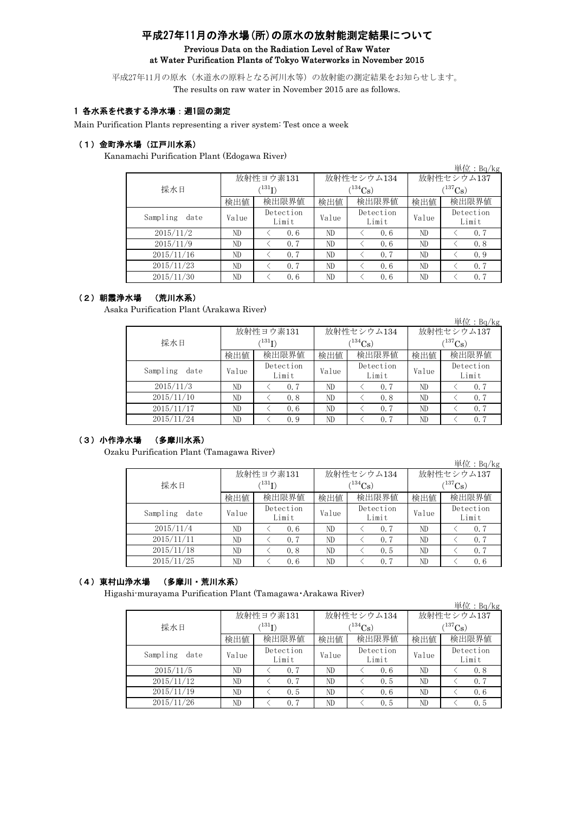# 平成27年11月の浄水場(所)の原水の放射能測定結果について Previous Data on the Radiation Level of Raw Water at Water Purification Plants of Tokyo Waterworks in November 2015

平成27年11月の原水(水道水の原料となる河川水等)の放射能の測定結果をお知らせします。 The results on raw water in November 2015 are as follows.

## 1 各水系を代表する浄水場:週1回の測定

Main Purification Plants representing a river system: Test once a week

## (1)金町浄水場(江戸川水系)

Kanamachi Purification Plant (Edogawa River)

|                  |       |                        |       |                    |              | 単位: $Bq/kg$        |  |
|------------------|-------|------------------------|-------|--------------------|--------------|--------------------|--|
|                  |       | 放射性ヨウ素131              |       | 放射性セシウム134         | 放射性セシウム137   |                    |  |
| 採水日              |       | $\rm \langle ^{131}I)$ |       | $(^{134}Cs)$       | $(^{137}Cs)$ |                    |  |
|                  | 検出値   | 検出限界値                  | 検出値   | 検出限界値              | 検出値          | 検出限界値              |  |
| Sampling<br>date | Value | Detection<br>Limit     | Value | Detection<br>Limit | Value        | Detection<br>Limit |  |
| 2015/11/2        | ND    | 0.6                    | ND    | 0.6                | ND           | 0.7                |  |
| 2015/11/9        | ND    | 0.7                    | ND    | 0.6                | ND           | 0.8                |  |
| 2015/11/16       | ND.   | 0.7                    | ND    | 0.7                | ND           | 0.9                |  |
| 2015/11/23       | ND    | 0.7                    | ND    | 0.6                | ND           | 0.7                |  |
| 2015/11/30       | ND    | 0, 6                   | ND    | 0.6                | ND           | 0.7                |  |

#### (2)朝霞浄水場 (荒川水系)

Asaka Purification Plant (Arakawa River)

|                  |       |                            |       |                    |              | 単位: $Bq/kg$        |  |  |
|------------------|-------|----------------------------|-------|--------------------|--------------|--------------------|--|--|
|                  |       | 放射性ヨウ素131                  |       | 放射性セシウム134         | 放射性セシウム137   |                    |  |  |
| 採水日              |       | $^{\prime131} \mathrm{I})$ |       | $(134)$ Cs)        | $(^{137}Cs)$ |                    |  |  |
|                  | 検出値   | 検出限界値                      | 検出値   | 検出限界値              | 検出値          | 検出限界値              |  |  |
| Sampling<br>date | Value | Detection<br>Limit         | Value | Detection<br>Limit | Value        | Detection<br>Limit |  |  |
| 2015/11/3        | ND    | 0.7                        | ND    | 0.7                | ND           | 0.7                |  |  |
| 2015/11/10       | ND    | 0.8                        | ND    | 0.8                | ND           | 0.7                |  |  |
| 2015/11/17       | ND.   | 0.6                        | ND.   | 0.7                | ND           | 0.7                |  |  |
| 2015/11/24       | ND.   | 0.9                        | ND    | 0.7                | ND           | 0.7                |  |  |

## (3)小作浄水場 (多摩川水系)

Ozaku Purification Plant (Tamagawa River)

|                  |       |                    |              |                    |            | $\vert \rm \not\!\!{\rm \, E} \, \rm \not\!\!{\rm E}$ : Bq/kg |  |
|------------------|-------|--------------------|--------------|--------------------|------------|---------------------------------------------------------------|--|
|                  |       | 放射性ヨウ素131          |              | 放射性セシウム134         | 放射性セシウム137 |                                                               |  |
| 採水日              |       | $\rm \, (^{131}I)$ | $(^{134}Cs)$ |                    |            | $(^{137}Cs)$                                                  |  |
|                  | 検出値   | 検出限界値              | 検出値          | 検出限界値              | 検出値        | 検出限界値                                                         |  |
| Sampling<br>date | Value | Detection<br>Limit | Value        | Detection<br>Limit | Value      | Detection<br>Limit                                            |  |
| 2015/11/4        | ND.   | 0.6                | ND           | 0.7                | ND         | 0, 7                                                          |  |
| 2015/11/11       | ND.   | 0.7                | ND           | 0.7                | ND         | 0.7                                                           |  |
| 2015/11/18       | ND.   | 0.8                | ND           | 0.5                | ND         | 0.7                                                           |  |
| 2015/11/25       | ND.   | 0.6                | ND           | 0.7                | ND         | 0.6                                                           |  |

## (4)東村山浄水場 (多摩川・荒川水系)

Higashi-murayama Purification Plant (Tamagawa・Arakawa River)

|                  |       |                            |       |                    |              | 単位: $Bq/kg$        |  |  |
|------------------|-------|----------------------------|-------|--------------------|--------------|--------------------|--|--|
|                  |       | 放射性ヨウ素131                  |       | 放射性セシウム134         | 放射性セシウム137   |                    |  |  |
| 採水日              |       | $^{\prime131} \mathrm{I})$ |       | $(134)$ Cs)        | $(^{137}Cs)$ |                    |  |  |
|                  | 検出値   | 検出限界値                      | 検出値   | 検出限界値              | 検出値          | 検出限界値              |  |  |
| Sampling<br>date | Value | Detection<br>Limit         | Value | Detection<br>Limit | Value        | Detection<br>Limit |  |  |
| 2015/11/5        | ND.   | 0.7                        | ND    | 0.6                | ND           | 0.8                |  |  |
| 2015/11/12       | ND    | 0.7                        | ND    | 0.5                | ND           | 0.7                |  |  |
| 2015/11/19       | ND.   | 0.5                        | ND    | 0.6                | ND           | 0.6                |  |  |
| 2015/11/26       | ND    | 0.7                        | ND    | 0.5                | ND           | 0.5                |  |  |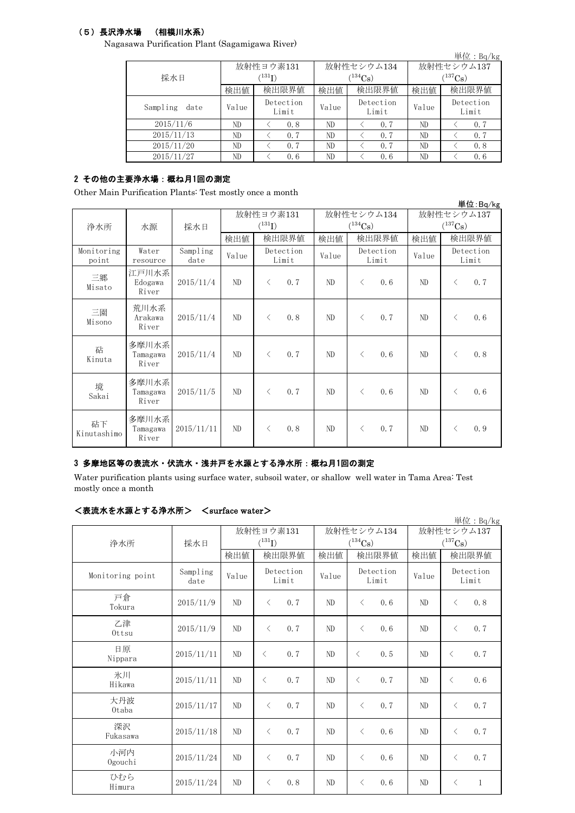# (5)長沢浄水場 (相模川水系)

Nagasawa Purification Plant (Sagamigawa River)

|                  |       |                      |              |                    |              | 単位: Bq/kg          |  |
|------------------|-------|----------------------|--------------|--------------------|--------------|--------------------|--|
|                  |       | 放射性ヨウ素131            |              | 放射性セシウム134         | 放射性セシウム137   |                    |  |
| 採水日              |       | $(^{131}\mathrm{I})$ |              | $134C_8$ )         | $(^{137}Cs)$ |                    |  |
|                  | 検出値   | 検出限界値                | 検出限界値<br>検出値 |                    | 検出値          | 検出限界値              |  |
| Sampling<br>date | Value | Detection<br>Limit   | Value        | Detection<br>Limit | Value        | Detection<br>Limit |  |
| 2015/11/6        | ND    | 0.8                  | ND           | 0.7                | ND           | 0.7                |  |
| 2015/11/13       | ND    | 0.7                  | ND           | 0.7                | ND           | 0.7                |  |
| 2015/11/20       | ND    | 0.7                  | ND           | 0.7                | ND           | 0.8                |  |
| 2015/11/27       | ND    | 0.6                  | ND           | 0.6                | ND           | 0.6                |  |

# 2 その他の主要浄水場:概ね月1回の測定

Other Main Purification Plants: Test mostly once a month

|                     |                            |                  |           |                      |                    |            |              |                    |                       |           | 単位:Bq/kg           |
|---------------------|----------------------------|------------------|-----------|----------------------|--------------------|------------|--------------|--------------------|-----------------------|-----------|--------------------|
|                     |                            |                  | 放射性ヨウ素131 |                      |                    | 放射性セシウム134 |              |                    | 放射性セシウム137            |           |                    |
| 浄水所                 | 水源                         | 採水日              |           | $(^{131}\mathrm{I})$ |                    |            | $(^{134}Cs)$ |                    | $(^{137}\mathrm{Cs})$ |           |                    |
|                     |                            |                  | 検出値       |                      | 検出限界値              | 検出値        |              | 検出限界値              | 検出値                   |           | 検出限界値              |
| Monitoring<br>point | Water<br>resource          | Sampling<br>date | Value     |                      | Detection<br>Limit | Value      |              | Detection<br>Limit | Value                 |           | Detection<br>Limit |
| 三郷<br>Misato        | 江戸川水系<br>Edogawa<br>River  | 2015/11/4        | ND        | $\langle$            | 0.7                | ND         | $\lt$        | 0.6                | ND.                   | $\langle$ | 0.7                |
| 三園<br>Misono        | 荒川水系<br>Arakawa<br>River   | 2015/11/4        | ND        | $\langle$            | 0.8                | ND         | $\lt$        | 0.7                | ND                    | $\langle$ | 0.6                |
| 砧<br>Kinuta         | 多摩川水系<br>Tamagawa<br>River | 2015/11/4        | ND        | $\langle$            | 0.7                | ND.        | $\langle$    | 0.6                | ND.                   | $\langle$ | 0.8                |
| 境<br>Sakai          | 多摩川水系<br>Tamagawa<br>River | 2015/11/5        | ND        | $\langle$            | 0.7                | ND         | $\langle$    | 0.6                | ND                    | $\lt$     | 0.6                |
| 砧下<br>Kinutashimo   | 多摩川水系<br>Tamagawa<br>River | 2015/11/11       | ND        | $\langle$            | 0.8                | ND.        | $\lt$        | 0, 7               | ND.                   | $\lt$     | 0.9                |

### 3 多摩地区等の表流水・伏流水・浅井戸を水源とする浄水所:概ね月1回の測定

Water purification plants using surface water, subsoil water, or shallow well water in Tama Area: Test mostly once a month

### <表流水を水源とする浄水所> <surface water>

|                  |                  |                |                    |       |                       |            | 単位: Bq/kg                 |  |
|------------------|------------------|----------------|--------------------|-------|-----------------------|------------|---------------------------|--|
|                  |                  |                | 放射性ヨウ素131          |       | 放射性セシウム134            | 放射性セシウム137 |                           |  |
| 浄水所              | 採水日              |                | $(^{131}I)$        |       | $(^{134}\mathrm{Cs})$ |            | $(^{137}\mathrm{Cs})$     |  |
|                  |                  | 検出値            | 検出限界値              | 検出値   | 検出限界値                 | 検出値        | 検出限界値                     |  |
| Monitoring point | Sampling<br>date | Value          | Detection<br>Limit | Value | Detection<br>Limit    | Value      | Detection<br>Limit        |  |
| 戸倉<br>Tokura     | 2015/11/9        | N <sub>D</sub> | 0.7<br>$\langle$   | ND    | 0.6<br>$\langle$      | ND         | 0.8<br>$\langle$          |  |
| 乙津<br>$0$ ttsu   | 2015/11/9        | N <sub>D</sub> | 0.7<br>$\langle$   | ND    | $\langle$<br>0, 6     | ND         | 0.7<br>$\langle$          |  |
| 日原<br>Nippara    | 2015/11/11       | N <sub>D</sub> | 0.7<br>$\langle$   | ND    | 0.5<br>$\langle$      | ND         | 0.7<br>$\lt$              |  |
| 氷川<br>Hikawa     | 2015/11/11       | ND             | $\langle$<br>0, 7  | ND    | 0.7<br>$\lt$          | ND         | 0.6<br>$\lt$              |  |
| 大丹波<br>0taba     | 2015/11/17       | ND             | 0.7<br>$\langle$   | ND    | 0.7<br>$\langle$      | ND         | 0.7<br>$\lt$              |  |
| 深沢<br>Fukasawa   | 2015/11/18       | ND             | 0.7<br>$\langle$   | ND    | 0.6<br>$\lt$          | ND         | 0.7<br>$\lt$              |  |
| 小河内<br>Ogouchi   | 2015/11/24       | ND             | 0.7<br>$\langle$   | ND    | 0.6<br>$\lt$          | ND         | 0.7<br>$\lt$              |  |
| ひむら<br>Himura    | 2015/11/24       | ND             | $\langle$<br>0, 8  | ND    | 0.6<br>$\langle$      | ND         | $\mathbf{1}$<br>$\langle$ |  |